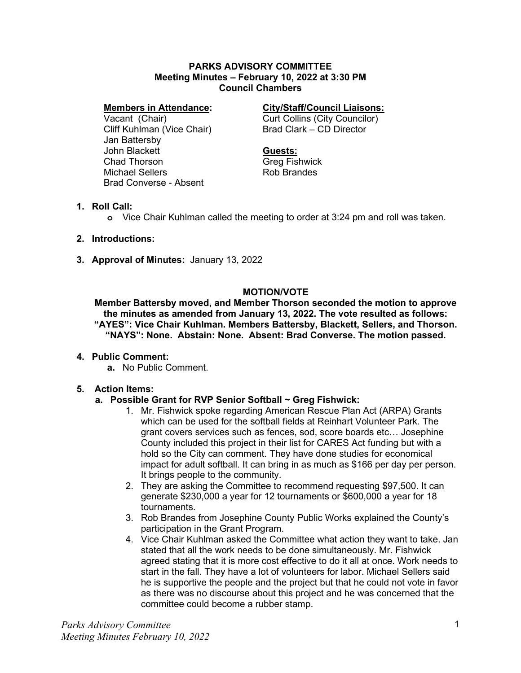#### **PARKS ADVISORY COMMITTEE Meeting Minutes – February 10, 2022 at 3:30 PM Council Chambers**

#### **Members in Attendance:**

Vacant (Chair) Cliff Kuhlman (Vice Chair) Jan Battersby John Blackett Chad Thorson Michael Sellers Brad Converse - Absent

## **City/Staff/Council Liaisons:**

Curt Collins (City Councilor) Brad Clark – CD Director

#### **Guests:**

Greg Fishwick Rob Brandes

#### **1. Roll Call:**

**o** Vice Chair Kuhlman called the meeting to order at 3:24 pm and roll was taken.

- **2. Introductions:**
- **3. Approval of Minutes:** January 13, 2022

## **MOTION/VOTE**

**Member Battersby moved, and Member Thorson seconded the motion to approve the minutes as amended from January 13, 2022. The vote resulted as follows: "AYES": Vice Chair Kuhlman. Members Battersby, Blackett, Sellers, and Thorson. "NAYS": None. Abstain: None. Absent: Brad Converse. The motion passed.**

## **4. Public Comment:**

**a.** No Public Comment.

## **5. Action Items:**

## **a. Possible Grant for RVP Senior Softball ~ Greg Fishwick:**

- 1. Mr. Fishwick spoke regarding American Rescue Plan Act (ARPA) Grants which can be used for the softball fields at Reinhart Volunteer Park. The grant covers services such as fences, sod, score boards etc… Josephine County included this project in their list for CARES Act funding but with a hold so the City can comment. They have done studies for economical impact for adult softball. It can bring in as much as \$166 per day per person. It brings people to the community.
- 2. They are asking the Committee to recommend requesting \$97,500. It can generate \$230,000 a year for 12 tournaments or \$600,000 a year for 18 tournaments.
- 3. Rob Brandes from Josephine County Public Works explained the County's participation in the Grant Program.
- 4. Vice Chair Kuhlman asked the Committee what action they want to take. Jan stated that all the work needs to be done simultaneously. Mr. Fishwick agreed stating that it is more cost effective to do it all at once. Work needs to start in the fall. They have a lot of volunteers for labor. Michael Sellers said he is supportive the people and the project but that he could not vote in favor as there was no discourse about this project and he was concerned that the committee could become a rubber stamp.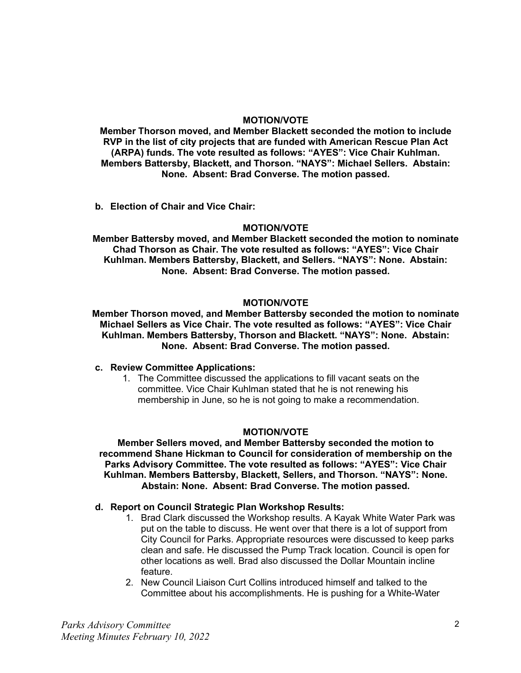#### **MOTION/VOTE**

**Member Thorson moved, and Member Blackett seconded the motion to include RVP in the list of city projects that are funded with American Rescue Plan Act (ARPA) funds. The vote resulted as follows: "AYES": Vice Chair Kuhlman. Members Battersby, Blackett, and Thorson. "NAYS": Michael Sellers. Abstain: None. Absent: Brad Converse. The motion passed.**

**b. Election of Chair and Vice Chair:**

#### **MOTION/VOTE**

**Member Battersby moved, and Member Blackett seconded the motion to nominate Chad Thorson as Chair. The vote resulted as follows: "AYES": Vice Chair Kuhlman. Members Battersby, Blackett, and Sellers. "NAYS": None. Abstain: None. Absent: Brad Converse. The motion passed.**

#### **MOTION/VOTE**

**Member Thorson moved, and Member Battersby seconded the motion to nominate Michael Sellers as Vice Chair. The vote resulted as follows: "AYES": Vice Chair Kuhlman. Members Battersby, Thorson and Blackett. "NAYS": None. Abstain: None. Absent: Brad Converse. The motion passed.**

#### **c. Review Committee Applications:**

1. The Committee discussed the applications to fill vacant seats on the committee. Vice Chair Kuhlman stated that he is not renewing his membership in June, so he is not going to make a recommendation.

## **MOTION/VOTE**

**Member Sellers moved, and Member Battersby seconded the motion to recommend Shane Hickman to Council for consideration of membership on the Parks Advisory Committee. The vote resulted as follows: "AYES": Vice Chair Kuhlman. Members Battersby, Blackett, Sellers, and Thorson. "NAYS": None. Abstain: None. Absent: Brad Converse. The motion passed.**

#### **d. Report on Council Strategic Plan Workshop Results:**

- 1. Brad Clark discussed the Workshop results. A Kayak White Water Park was put on the table to discuss. He went over that there is a lot of support from City Council for Parks. Appropriate resources were discussed to keep parks clean and safe. He discussed the Pump Track location. Council is open for other locations as well. Brad also discussed the Dollar Mountain incline feature.
- 2. New Council Liaison Curt Collins introduced himself and talked to the Committee about his accomplishments. He is pushing for a White-Water